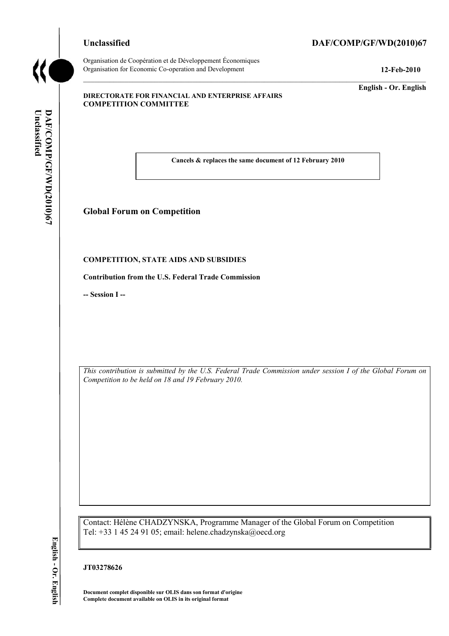# **Unclassified DAF/COMP/GF/WD(2010)67**



**Unclassified** 

DAF/COMP/GF/WD(2010)67

Unclassified

Organisation de Coopération et de Développement Économiques Organisation for Economic Co-operation and Development **12-Feb-2010** 

**English - Or. English** 

### **DIRECTORATE FOR FINANCIAL AND ENTERPRISE AFFAIRS COMPETITION COMMITTEE**

 **Cancels & replaces the same document of 12 February 2010** 

# **Global Forum on Competition**

## **COMPETITION, STATE AIDS AND SUBSIDIES**

**Contribution from the U.S. Federal Trade Commission** 

**-- Session I --** 

 *This contribution is submitted by the U.S. Federal Trade Commission under session I of the Global Forum on Competition to be held on 18 and 19 February 2010.* 

 Tel: +33 1 45 24 91 05; email: helene.chadzynska@oecd.org Contact: Hélène CHADZYNSKA, Programme Manager of the Global Forum on Competition

**JT03278626** 

 **Document complet disponible sur OLIS dans son format d'origine Complete document available on OLIS in its original format**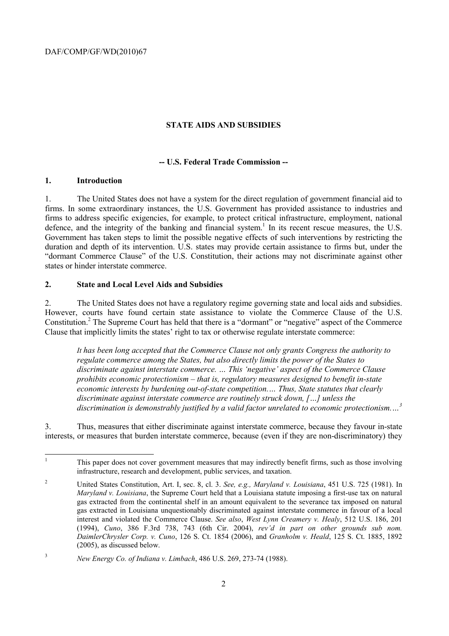## **STATE AIDS AND SUBSIDIES**

## **-- U.S. Federal Trade Commission --**

## **1. Introduction**

 $\overline{a}$ 

1. The United States does not have a system for the direct regulation of government financial aid to firms. In some extraordinary instances, the U.S. Government has provided assistance to industries and firms to address specific exigencies, for example, to protect critical infrastructure, employment, national defence, and the integrity of the banking and financial system.<sup>1</sup> In its recent rescue measures, the U.S. Government has taken steps to limit the possible negative effects of such interventions by restricting the duration and depth of its intervention. U.S. states may provide certain assistance to firms but, under the "dormant Commerce Clause" of the U.S. Constitution, their actions may not discriminate against other states or hinder interstate commerce.

## **2. State and Local Level Aids and Subsidies**

2. The United States does not have a regulatory regime governing state and local aids and subsidies. However, courts have found certain state assistance to violate the Commerce Clause of the U.S. Constitution.<sup>2</sup> The Supreme Court has held that there is a "dormant" or "negative" aspect of the Commerce Clause that implicitly limits the states' right to tax or otherwise regulate interstate commerce:

 *discriminate against interstate commerce are routinely struck down, […] unless the discrimination is demonstrably justified by a valid factor unrelated to economic protectionism.…3 It has been long accepted that the Commerce Clause not only grants Congress the authority to regulate commerce among the States, but also directly limits the power of the States to discriminate against interstate commerce. … This 'negative' aspect of the Commerce Clause prohibits economic protectionism – that is, regulatory measures designed to benefit in-state economic interests by burdening out-of-state competition.… Thus, State statutes that clearly* 

3. Thus, measures that either discriminate against interstate commerce, because they favour in-state interests, or measures that burden interstate commerce, because (even if they are non-discriminatory) they

<sup>1</sup> This paper does not cover government measures that may indirectly benefit firms, such as those involving infrastructure, research and development, public services, and taxation.

 $\overline{c}$  *Maryland v. Louisiana*, the Supreme Court held that a Louisiana statute imposing a first-use tax on natural (2005), as discussed below. 2 United States Constitution, Art. I, sec. 8, cl. 3. *See, e.g., Maryland v. Louisiana*, 451 U.S. 725 (1981). In gas extracted from the continental shelf in an amount equivalent to the severance tax imposed on natural gas extracted in Louisiana unquestionably discriminated against interstate commerce in favour of a local interest and violated the Commerce Clause. *See also*, *West Lynn Creamery v. Healy*, 512 U.S. 186, 201 (1994), *Cuno*, 386 F.3rd 738, 743 (6th Cir. 2004), *rev'd in part on other grounds sub nom. DaimlerChrysler Corp. v. Cuno*, 126 S. Ct. 1854 (2006), and *Granholm v. Heald*, 125 S. Ct. 1885, 1892

<sup>&</sup>lt;sup>3</sup> *New Energy Co. of Indiana v. Limbach*, 486 U.S. 269, 273-74 (1988).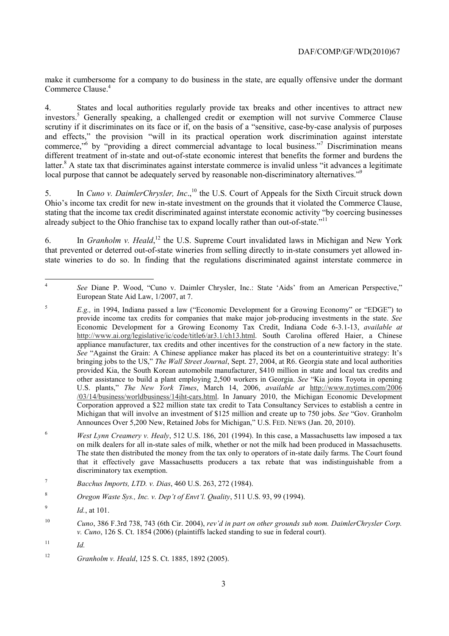Commerce Clause.<sup>4</sup> make it cumbersome for a company to do business in the state, are equally offensive under the dormant

local purpose that cannot be adequately served by reasonable non-discriminatory alternatives."<sup>9</sup> 4. States and local authorities regularly provide tax breaks and other incentives to attract new investors.<sup>5</sup> Generally speaking, a challenged credit or exemption will not survive Commerce Clause scrutiny if it discriminates on its face or if, on the basis of a "sensitive, case-by-case analysis of purposes and effects," the provision "will in its practical operation work discrimination against interstate commerce,<sup>"6</sup> by "providing a direct commercial advantage to local business."<sup>7</sup> Discrimination means different treatment of in-state and out-of-state economic interest that benefits the former and burdens the latter.<sup>8</sup> A state tax that discriminates against interstate commerce is invalid unless "it advances a legitimate

already subject to the Ohio franchise tax to expand locally rather than out-of-state."<sup>11</sup> 5. In *Cuno v. DaimlerChrysler, Inc.*,<sup>10</sup> the U.S. Court of Appeals for the Sixth Circuit struck down Ohio's income tax credit for new in-state investment on the grounds that it violated the Commerce Clause, stating that the income tax credit discriminated against interstate economic activity "by coercing businesses

6. In *Granholm v. Heald*, 12 the U.S. Supreme Court invalidated laws in Michigan and New York that prevented or deterred out-of-state wineries from selling directly to in-state consumers yet allowed instate wineries to do so. In finding that the regulations discriminated against interstate commerce in

 $\overline{a}$ <sup>4</sup>*See* Diane P. Wood, "Cuno v. Daimler Chrysler, Inc.: State 'Aids' from an American Perspective," European State Aid Law, 1/2007, at 7.

 provide income tax credits for companies that make major job-producing investments in the state. *See*  Announces Over 5,200 New, Retained Jobs for Michigan," U.S. FED. NEWS (Jan. 20, 2010). <sup>5</sup>*E.g.,* in 1994, Indiana passed a law ("Economic Development for a Growing Economy" or "EDGE") to Economic Development for a Growing Economy Tax Credit, Indiana Code 6-3.1-13, *available at*  http://www.ai.org/legislative/ic/code/title6/ar3.1/ch13.html. South Carolina offered Haier, a Chinese appliance manufacturer, tax credits and other incentives for the construction of a new factory in the state. *See* "Against the Grain: A Chinese appliance maker has placed its bet on a counterintuitive strategy: It's bringing jobs to the US," *The Wall Street Journal*, Sept. 27, 2004, at R6. Georgia state and local authorities provided Kia, the South Korean automobile manufacturer, \$410 million in state and local tax credits and other assistance to build a plant employing 2,500 workers in Georgia. *See* "Kia joins Toyota in opening U.S. plants," *The New York Times*, March 14, 2006, *available at* http://www.nytimes.com/2006 /03/14/business/worldbusiness/14iht-cars.html. In January 2010, the Michigan Economic Development Corporation approved a \$22 million state tax credit to Tata Consultancy Services to establish a centre in Michigan that will involve an investment of \$125 million and create up to 750 jobs. *See* "Gov. Granholm

<sup>6</sup>  that it effectively gave Massachusetts producers a tax rebate that was indistinguishable from a discriminatory tax exemption. <sup>6</sup>*West Lynn Creamery v. Healy*, 512 U.S. 186, 201 (1994). In this case, a Massachusetts law imposed a tax on milk dealers for all in-state sales of milk, whether or not the milk had been produced in Massachusetts. The state then distributed the money from the tax only to operators of in-state daily farms. The Court found

 $\overline{7}$ discriminatory tax exemption. 7 *Bacchus Imports, LTD. v. Dias*, 460 U.S. 263, 272 (1984).

<sup>8</sup>*Oregon Waste Sys., Inc. v. Dep't of Envt'l. Quality*, 511 U.S. 93, 99 (1994).

<sup>9</sup>*Id.*, at 101.

<sup>10</sup> <sup>10</sup>*Cuno*, 386 F.3rd 738, 743 (6th Cir. 2004), *rev'd in part on other grounds sub nom. DaimlerChrysler Corp. v. Cuno*, 126 S. Ct. 1854 (2006) (plaintiffs lacked standing to sue in federal court).

 $11$  $Id$ .

<sup>12</sup>*Granholm v. Heald*, 125 S. Ct. 1885, 1892 (2005).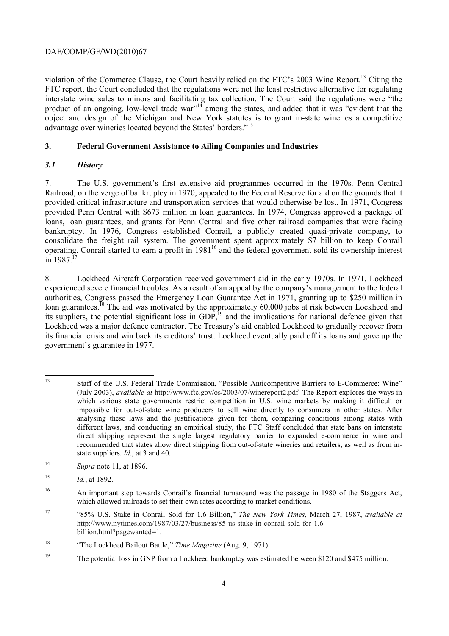advantage over wineries located beyond the States' borders."<sup>15</sup> violation of the Commerce Clause, the Court heavily relied on the FTC's 2003 Wine Report.<sup>13</sup> Citing the FTC report, the Court concluded that the regulations were not the least restrictive alternative for regulating interstate wine sales to minors and facilitating tax collection. The Court said the regulations were "the product of an ongoing, low-level trade war"<sup>14</sup> among the states, and added that it was "evident that the object and design of the Michigan and New York statutes is to grant in-state wineries a competitive

# **3. Federal Government Assistance to Ailing Companies and Industries**

# *3.1 History*

7. The U.S. government's first extensive aid programmes occurred in the 1970s. Penn Central Railroad, on the verge of bankruptcy in 1970, appealed to the Federal Reserve for aid on the grounds that it provided critical infrastructure and transportation services that would otherwise be lost. In 1971, Congress provided Penn Central with \$673 million in loan guarantees. In 1974, Congress approved a package of loans, loan guarantees, and grants for Penn Central and five other railroad companies that were facing bankruptcy. In 1976, Congress established Conrail, a publicly created quasi-private company, to consolidate the freight rail system. The government spent approximately \$7 billion to keep Conrail operating. Conrail started to earn a profit in 1981<sup>16</sup> and the federal government sold its ownership interest  $in$  1987.<sup>1</sup>

 government's guarantee in 1977. 8. Lockheed Aircraft Corporation received government aid in the early 1970s. In 1971, Lockheed experienced severe financial troubles. As a result of an appeal by the company's management to the federal authorities, Congress passed the Emergency Loan Guarantee Act in 1971, granting up to \$250 million in loan guarantees.<sup>18</sup> The aid was motivated by the approximately 60,000 jobs at risk between Lockheed and its suppliers, the potential significant loss in GDP,<sup>19</sup> and the implications for national defence given that Lockheed was a major defence contractor. The Treasury's aid enabled Lockheed to gradually recover from its financial crisis and win back its creditors' trust. Lockheed eventually paid off its loans and gave up the

<sup>14</sup>*Supra* note 11, at 1896.

 $\overline{a}$  which various state governments restrict competition in U.S. wine markets by making it difficult or impossible for out-of-state wine producers to sell wine directly to consumers in other states. After analysing these laws and the justifications given for them, comparing conditions among states with different laws, and conducting an empirical study, the FTC Staff concluded that state bans on interstate 13 Staff of the U.S. Federal Trade Commission, "Possible Anticompetitive Barriers to E-Commerce: Wine" (July 2003), *available at* http://www.ftc.gov/os/2003/07/winereport2.pdf. The Report explores the ways in direct shipping represent the single largest regulatory barrier to expanded e-commerce in wine and recommended that states allow direct shipping from out-of-state wineries and retailers, as well as from instate suppliers. *Id.*, at 3 and 40.

<sup>15</sup>*Id.*, at 1892.

<sup>16</sup> An important step towards Conrail's financial turnaround was the passage in 1980 of the Staggers Act, which allowed railroads to set their own rates according to market conditions.

<sup>17 &</sup>quot;85% U.S. Stake in Conrail Sold for 1.6 Billion," *The New York Times*, March 27, 1987, *available at*  http://www.nytimes.com/1987/03/27/business/85-us-stake-in-conrail-sold-for-1.6 billion.html?pagewanted=1.

<sup>18</sup> 18 "The Lockheed Bailout Battle," *Time Magazine* (Aug. 9, 1971).

<sup>&</sup>lt;sup>19</sup> The potential loss in GNP from a Lockheed bankruptcy was estimated between \$120 and \$475 million.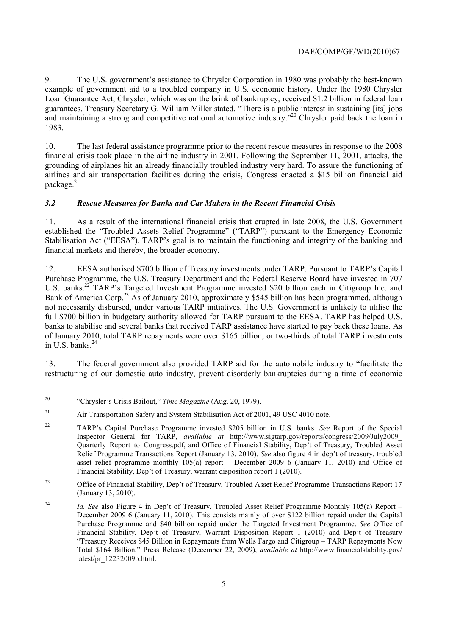9. The U.S. government's assistance to Chrysler Corporation in 1980 was probably the best-known example of government aid to a troubled company in U.S. economic history. Under the 1980 Chrysler Loan Guarantee Act, Chrysler, which was on the brink of bankruptcy, received \$1.2 billion in federal loan guarantees. Treasury Secretary G. William Miller stated, "There is a public interest in sustaining [its] jobs and maintaining a strong and competitive national automotive industry."20 Chrysler paid back the loan in 1983.

package.<sup>21</sup> 10. The last federal assistance programme prior to the recent rescue measures in response to the 2008 financial crisis took place in the airline industry in 2001. Following the September 11, 2001, attacks, the grounding of airplanes hit an already financially troubled industry very hard. To assure the functioning of airlines and air transportation facilities during the crisis, Congress enacted a \$15 billion financial aid

# *3.2 Rescue Measures for Banks and Car Makers in the Recent Financial Crisis*

11. As a result of the international financial crisis that erupted in late 2008, the U.S. Government established the "Troubled Assets Relief Programme" ("TARP") pursuant to the Emergency Economic Stabilisation Act ("EESA"). TARP's goal is to maintain the functioning and integrity of the banking and financial markets and thereby, the broader economy.

in U.S. banks. $^{24}$ 12. EESA authorised \$700 billion of Treasury investments under TARP. Pursuant to TARP's Capital Purchase Programme, the U.S. Treasury Department and the Federal Reserve Board have invested in 707 U.S. banks.<sup>22</sup> TARP's Targeted Investment Programme invested \$20 billion each in Citigroup Inc. and Bank of America Corp.<sup>23</sup> As of January 2010, approximately \$545 billion has been programmed, although not necessarily disbursed, under various TARP initiatives. The U.S. Government is unlikely to utilise the full \$700 billion in budgetary authority allowed for TARP pursuant to the EESA. TARP has helped U.S. banks to stabilise and several banks that received TARP assistance have started to pay back these loans. As of January 2010, total TARP repayments were over \$165 billion, or two-thirds of total TARP investments

13. The federal government also provided TARP aid for the automobile industry to "facilitate the restructuring of our domestic auto industry, prevent disorderly bankruptcies during a time of economic

 $23$ 23 Office of Financial Stability, Dep't of Treasury, Troubled Asset Relief Programme Transactions Report 17 (January 13, 2010).

 20 "Chrysler's Crisis Bailout," *Time Magazine* (Aug. 20, 1979).

 $21$ Air Transportation Safety and System Stabilisation Act of 2001, 49 USC 4010 note.

<sup>22</sup> TARP's Capital Purchase Programme invested \$205 billion in U.S. banks. *See* Report of the Special Inspector General for TARP, *available at* http://www.sigtarp.gov/reports/congress/2009/July2009\_ Quarterly\_Report\_to\_Congress.pdf, and Office of Financial Stability, Dep't of Treasury, Troubled Asset Relief Programme Transactions Report (January 13, 2010). *See* also figure 4 in dep't of treasury, troubled asset relief programme monthly 105(a) report – December 2009 6 (January 11, 2010) and Office of Financial Stability, Dep't of Treasury, warrant disposition report 1 (2010).

 December 2009 6 (January 11, 2010). This consists mainly of over \$122 billion repaid under the Capital Financial Stability, Dep't of Treasury, Warrant Disposition Report 1 (2010) and Dep't of Treasury <sup>24</sup> *Id. See* also Figure 4 in Dep't of Treasury, Troubled Asset Relief Programme Monthly 105(a) Report – Purchase Programme and \$40 billion repaid under the Targeted Investment Programme. *See* Office of "Treasury Receives \$45 Billion in Repayments from Wells Fargo and Citigroup – TARP Repayments Now Total \$164 Billion," Press Release (December 22, 2009), *available at* http://www.financialstability.gov/ latest/pr\_12232009b.html.